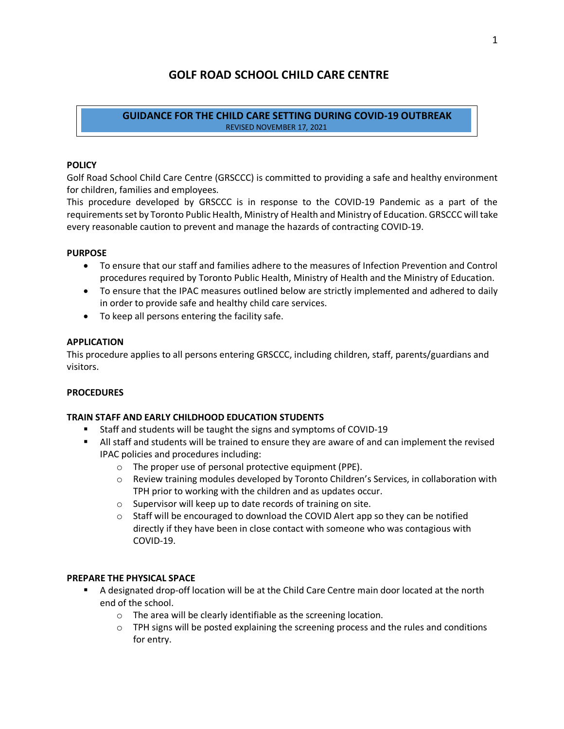# **GOLF ROAD SCHOOL CHILD CARE CENTRE**

#### **GUIDANCE FOR THE CHILD CARE SETTING DURING COVID-19 OUTBREAK** REVISED NOVEMBER 17, 2021

#### **POLICY**

Golf Road School Child Care Centre (GRSCCC) is committed to providing a safe and healthy environment for children, families and employees.

This procedure developed by GRSCCC is in response to the COVID-19 Pandemic as a part of the requirements set by Toronto Public Health, Ministry of Health and Ministry of Education. GRSCCC will take every reasonable caution to prevent and manage the hazards of contracting COVID-19.

#### **PURPOSE**

- To ensure that our staff and families adhere to the measures of Infection Prevention and Control procedures required by Toronto Public Health, Ministry of Health and the Ministry of Education.
- To ensure that the IPAC measures outlined below are strictly implemented and adhered to daily in order to provide safe and healthy child care services.
- To keep all persons entering the facility safe.

#### **APPLICATION**

This procedure applies to all persons entering GRSCCC, including children, staff, parents/guardians and visitors.

#### **PROCEDURES**

### **TRAIN STAFF AND EARLY CHILDHOOD EDUCATION STUDENTS**

- § Staff and students will be taught the signs and symptoms of COVID-19
- **•** All staff and students will be trained to ensure they are aware of and can implement the revised IPAC policies and procedures including:
	- o The proper use of personal protective equipment (PPE).
	- o Review training modules developed by Toronto Children's Services, in collaboration with TPH prior to working with the children and as updates occur.
	- o Supervisor will keep up to date records of training on site.
	- $\circ$  Staff will be encouraged to download the COVID Alert app so they can be notified directly if they have been in close contact with someone who was contagious with COVID-19.

### **PREPARE THE PHYSICAL SPACE**

- § A designated drop-off location will be at the Child Care Centre main door located at the north end of the school.
	- o The area will be clearly identifiable as the screening location.
	- $\circ$  TPH signs will be posted explaining the screening process and the rules and conditions for entry.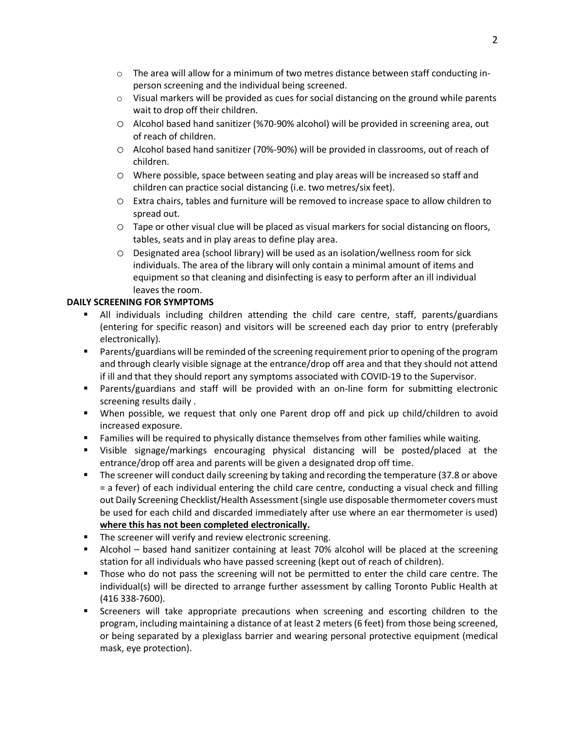- $\circ$  The area will allow for a minimum of two metres distance between staff conducting inperson screening and the individual being screened.
- $\circ$  Visual markers will be provided as cues for social distancing on the ground while parents wait to drop off their children.
- o Alcohol based hand sanitizer (%70-90% alcohol) will be provided in screening area, out of reach of children.
- o Alcohol based hand sanitizer (70%-90%) will be provided in classrooms, out of reach of children.
- o Where possible, space between seating and play areas will be increased so staff and children can practice social distancing (i.e. two metres/six feet).
- o Extra chairs, tables and furniture will be removed to increase space to allow children to spread out.
- o Tape or other visual clue will be placed as visual markers for social distancing on floors, tables, seats and in play areas to define play area.
- o Designated area (school library) will be used as an isolation/wellness room for sick individuals. The area of the library will only contain a minimal amount of items and equipment so that cleaning and disinfecting is easy to perform after an ill individual leaves the room.

### **DAILY SCREENING FOR SYMPTOMS**

- § All individuals including children attending the child care centre, staff, parents/guardians (entering for specific reason) and visitors will be screened each day prior to entry (preferably electronically).
- Parents/guardians will be reminded of the screening requirement prior to opening of the program and through clearly visible signage at the entrance/drop off area and that they should not attend if ill and that they should report any symptoms associated with COVID-19 to the Supervisor.
- § Parents/guardians and staff will be provided with an on-line form for submitting electronic screening results daily .
- When possible, we request that only one Parent drop off and pick up child/children to avoid increased exposure.
- **•** Families will be required to physically distance themselves from other families while waiting.
- § Visible signage/markings encouraging physical distancing will be posted/placed at the entrance/drop off area and parents will be given a designated drop off time.
- The screener will conduct daily screening by taking and recording the temperature (37.8 or above = a fever) of each individual entering the child care centre, conducting a visual check and filling out Daily Screening Checklist/Health Assessment(single use disposable thermometer covers must be used for each child and discarded immediately after use where an ear thermometer is used) **where this has not been completed electronically.**
- The screener will verify and review electronic screening.
- § Alcohol based hand sanitizer containing at least 70% alcohol will be placed at the screening station for all individuals who have passed screening (kept out of reach of children).
- § Those who do not pass the screening will not be permitted to enter the child care centre. The individual(s) will be directed to arrange further assessment by calling Toronto Public Health at (416 338-7600).
- Screeners will take appropriate precautions when screening and escorting children to the program, including maintaining a distance of at least 2 meters (6 feet) from those being screened, or being separated by a plexiglass barrier and wearing personal protective equipment (medical mask, eye protection).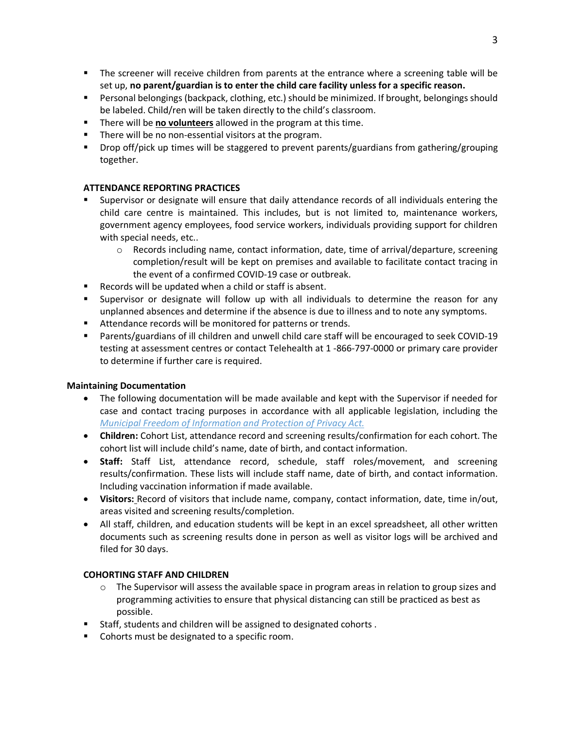- § The screener will receive children from parents at the entrance where a screening table will be set up, **no parent/guardian is to enter the child care facility unless for a specific reason.**
- Personal belongings (backpack, clothing, etc.) should be minimized. If brought, belongings should be labeled. Child/ren will be taken directly to the child's classroom.
- § There will be **no volunteers** allowed in the program at this time.
- § There will be no non-essential visitors at the program.
- § Drop off/pick up times will be staggered to prevent parents/guardians from gathering/grouping together.

### **ATTENDANCE REPORTING PRACTICES**

- § Supervisor or designate will ensure that daily attendance records of all individuals entering the child care centre is maintained. This includes, but is not limited to, maintenance workers, government agency employees, food service workers, individuals providing support for children with special needs, etc..
	- $\circ$  Records including name, contact information, date, time of arrival/departure, screening completion/result will be kept on premises and available to facilitate contact tracing in the event of a confirmed COVID-19 case or outbreak.
- Records will be updated when a child or staff is absent.
- § Supervisor or designate will follow up with all individuals to determine the reason for any unplanned absences and determine if the absence is due to illness and to note any symptoms.
- Attendance records will be monitored for patterns or trends.
- Parents/guardians of ill children and unwell child care staff will be encouraged to seek COVID-19 testing at assessment centres or contact Telehealth at 1 -866-797-0000 or primary care provider to determine if further care is required.

### **Maintaining Documentation**

- The following documentation will be made available and kept with the Supervisor if needed for case and contact tracing purposes in accordance with all applicable legislation, including the *Municipal Freedom of Information and Protection of Privacy Act.*
- **Children:** Cohort List, attendance record and screening results/confirmation for each cohort. The cohort list will include child's name, date of birth, and contact information.
- **Staff:** Staff List, attendance record, schedule, staff roles/movement, and screening results/confirmation. These lists will include staff name, date of birth, and contact information. Including vaccination information if made available.
- **Visitors:** Record of visitors that include name, company, contact information, date, time in/out, areas visited and screening results/completion.
- All staff, children, and education students will be kept in an excel spreadsheet, all other written documents such as screening results done in person as well as visitor logs will be archived and filed for 30 days.

### **COHORTING STAFF AND CHILDREN**

- $\circ$  The Supervisor will assess the available space in program areas in relation to group sizes and programming activities to ensure that physical distancing can still be practiced as best as possible.
- Staff, students and children will be assigned to designated cohorts.
- Cohorts must be designated to a specific room.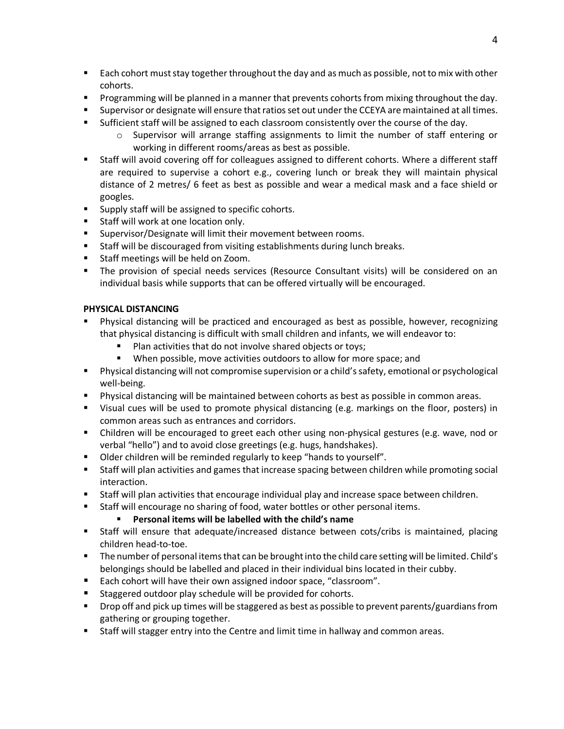- Each cohort must stay together throughout the day and as much as possible, not to mix with other cohorts.
- Programming will be planned in a manner that prevents cohorts from mixing throughout the day.
- Supervisor or designate will ensure that ratios set out under the CCEYA are maintained at all times.
- Sufficient staff will be assigned to each classroom consistently over the course of the day.
	- $\circ$  Supervisor will arrange staffing assignments to limit the number of staff entering or working in different rooms/areas as best as possible.
- Staff will avoid covering off for colleagues assigned to different cohorts. Where a different staff are required to supervise a cohort e.g., covering lunch or break they will maintain physical distance of 2 metres/ 6 feet as best as possible and wear a medical mask and a face shield or googles.
- Supply staff will be assigned to specific cohorts.
- Staff will work at one location only.
- Supervisor/Designate will limit their movement between rooms.
- Staff will be discouraged from visiting establishments during lunch breaks.
- Staff meetings will be held on Zoom.
- § The provision of special needs services (Resource Consultant visits) will be considered on an individual basis while supports that can be offered virtually will be encouraged.

# **PHYSICAL DISTANCING**

- Physical distancing will be practiced and encouraged as best as possible, however, recognizing that physical distancing is difficult with small children and infants, we will endeavor to:
	- Plan activities that do not involve shared objects or toys;
	- § When possible, move activities outdoors to allow for more space; and
- § Physical distancing will not compromise supervision or a child's safety, emotional or psychological well-being.
- § Physical distancing will be maintained between cohorts as best as possible in common areas.
- § Visual cues will be used to promote physical distancing (e.g. markings on the floor, posters) in common areas such as entrances and corridors.
- Children will be encouraged to greet each other using non-physical gestures (e.g. wave, nod or verbal "hello") and to avoid close greetings (e.g. hugs, handshakes).
- Older children will be reminded regularly to keep "hands to yourself".
- Staff will plan activities and games that increase spacing between children while promoting social interaction.
- Staff will plan activities that encourage individual play and increase space between children.
- Staff will encourage no sharing of food, water bottles or other personal items.

# § **Personal items will be labelled with the child's name**

- Staff will ensure that adequate/increased distance between cots/cribs is maintained, placing children head-to-toe.
- The number of personal items that can be brought into the child care setting will be limited. Child's belongings should be labelled and placed in their individual bins located in their cubby.
- Each cohort will have their own assigned indoor space, "classroom".
- Staggered outdoor play schedule will be provided for cohorts.
- Drop off and pick up times will be staggered as best as possible to prevent parents/guardians from gathering or grouping together.
- Staff will stagger entry into the Centre and limit time in hallway and common areas.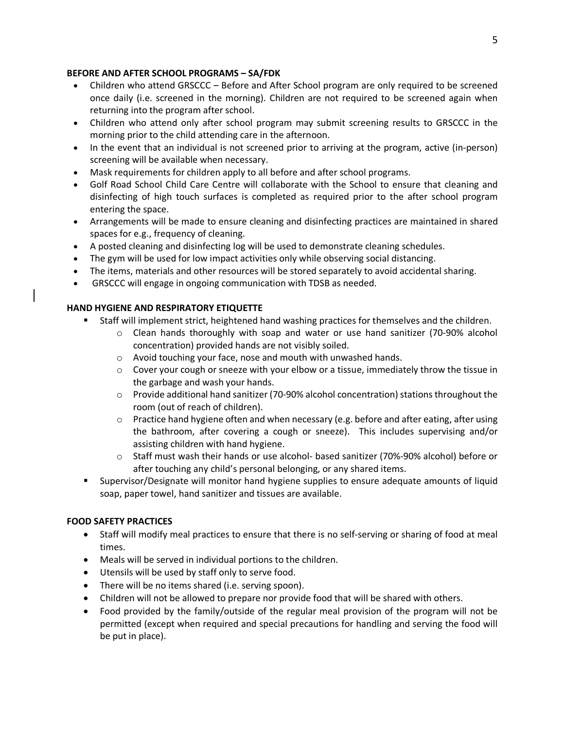### **BEFORE AND AFTER SCHOOL PROGRAMS – SA/FDK**

- Children who attend GRSCCC Before and After School program are only required to be screened once daily (i.e. screened in the morning). Children are not required to be screened again when returning into the program after school.
- Children who attend only after school program may submit screening results to GRSCCC in the morning prior to the child attending care in the afternoon.
- In the event that an individual is not screened prior to arriving at the program, active (in-person) screening will be available when necessary.
- Mask requirements for children apply to all before and after school programs.
- Golf Road School Child Care Centre will collaborate with the School to ensure that cleaning and disinfecting of high touch surfaces is completed as required prior to the after school program entering the space.
- Arrangements will be made to ensure cleaning and disinfecting practices are maintained in shared spaces for e.g., frequency of cleaning.
- A posted cleaning and disinfecting log will be used to demonstrate cleaning schedules.
- The gym will be used for low impact activities only while observing social distancing.
- The items, materials and other resources will be stored separately to avoid accidental sharing.
- GRSCCC will engage in ongoing communication with TDSB as needed.

# **HAND HYGIENE AND RESPIRATORY ETIQUETTE**

- Staff will implement strict, heightened hand washing practices for themselves and the children.
	- o Clean hands thoroughly with soap and water or use hand sanitizer (70-90% alcohol concentration) provided hands are not visibly soiled.
	- o Avoid touching your face, nose and mouth with unwashed hands.
	- $\circ$  Cover your cough or sneeze with your elbow or a tissue, immediately throw the tissue in the garbage and wash your hands.
	- o Provide additional hand sanitizer (70-90% alcohol concentration) stations throughout the room (out of reach of children).
	- $\circ$  Practice hand hygiene often and when necessary (e.g. before and after eating, after using the bathroom, after covering a cough or sneeze). This includes supervising and/or assisting children with hand hygiene.
	- o Staff must wash their hands or use alcohol- based sanitizer (70%-90% alcohol) before or after touching any child's personal belonging, or any shared items.
- § Supervisor/Designate will monitor hand hygiene supplies to ensure adequate amounts of liquid soap, paper towel, hand sanitizer and tissues are available.

# **FOOD SAFETY PRACTICES**

- Staff will modify meal practices to ensure that there is no self-serving or sharing of food at meal times.
- Meals will be served in individual portions to the children.
- Utensils will be used by staff only to serve food.
- There will be no items shared (i.e. serving spoon).
- Children will not be allowed to prepare nor provide food that will be shared with others.
- Food provided by the family/outside of the regular meal provision of the program will not be permitted (except when required and special precautions for handling and serving the food will be put in place).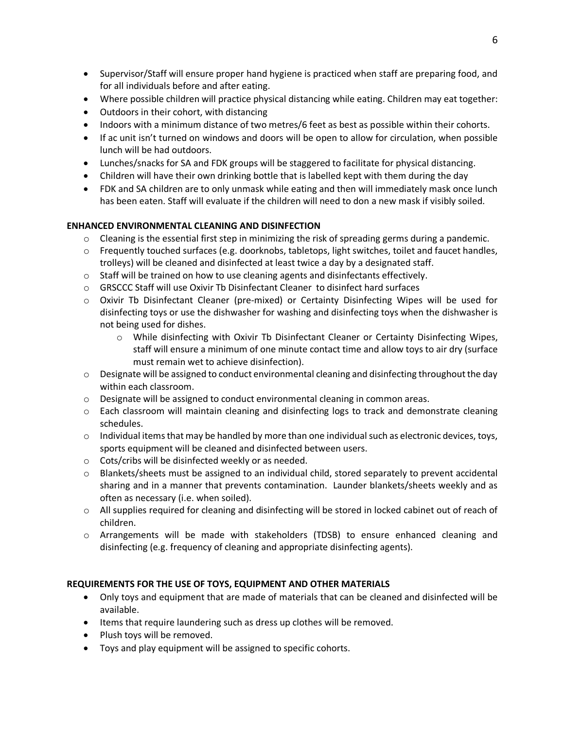- Supervisor/Staff will ensure proper hand hygiene is practiced when staff are preparing food, and for all individuals before and after eating.
- Where possible children will practice physical distancing while eating. Children may eat together:
- Outdoors in their cohort, with distancing
- Indoors with a minimum distance of two metres/6 feet as best as possible within their cohorts.
- If ac unit isn't turned on windows and doors will be open to allow for circulation, when possible lunch will be had outdoors.
- Lunches/snacks for SA and FDK groups will be staggered to facilitate for physical distancing.
- Children will have their own drinking bottle that is labelled kept with them during the day
- FDK and SA children are to only unmask while eating and then will immediately mask once lunch has been eaten. Staff will evaluate if the children will need to don a new mask if visibly soiled.

# **ENHANCED ENVIRONMENTAL CLEANING AND DISINFECTION**

- $\circ$  Cleaning is the essential first step in minimizing the risk of spreading germs during a pandemic.
- $\circ$  Frequently touched surfaces (e.g. doorknobs, tabletops, light switches, toilet and faucet handles, trolleys) will be cleaned and disinfected at least twice a day by a designated staff.
- $\circ$  Staff will be trained on how to use cleaning agents and disinfectants effectively.
- o GRSCCC Staff will use Oxivir Tb Disinfectant Cleaner to disinfect hard surfaces
- o Oxivir Tb Disinfectant Cleaner (pre-mixed) or Certainty Disinfecting Wipes will be used for disinfecting toys or use the dishwasher for washing and disinfecting toys when the dishwasher is not being used for dishes.
	- o While disinfecting with Oxivir Tb Disinfectant Cleaner or Certainty Disinfecting Wipes, staff will ensure a minimum of one minute contact time and allow toys to air dry (surface must remain wet to achieve disinfection).
- o Designate will be assigned to conduct environmental cleaning and disinfecting throughout the day within each classroom.
- o Designate will be assigned to conduct environmental cleaning in common areas.
- o Each classroom will maintain cleaning and disinfecting logs to track and demonstrate cleaning schedules.
- $\circ$  Individual items that may be handled by more than one individual such as electronic devices, toys, sports equipment will be cleaned and disinfected between users.
- o Cots/cribs will be disinfected weekly or as needed.
- o Blankets/sheets must be assigned to an individual child, stored separately to prevent accidental sharing and in a manner that prevents contamination. Launder blankets/sheets weekly and as often as necessary (i.e. when soiled).
- o All supplies required for cleaning and disinfecting will be stored in locked cabinet out of reach of children.
- o Arrangements will be made with stakeholders (TDSB) to ensure enhanced cleaning and disinfecting (e.g. frequency of cleaning and appropriate disinfecting agents).

# **REQUIREMENTS FOR THE USE OF TOYS, EQUIPMENT AND OTHER MATERIALS**

- Only toys and equipment that are made of materials that can be cleaned and disinfected will be available.
- Items that require laundering such as dress up clothes will be removed.
- Plush toys will be removed.
- Toys and play equipment will be assigned to specific cohorts.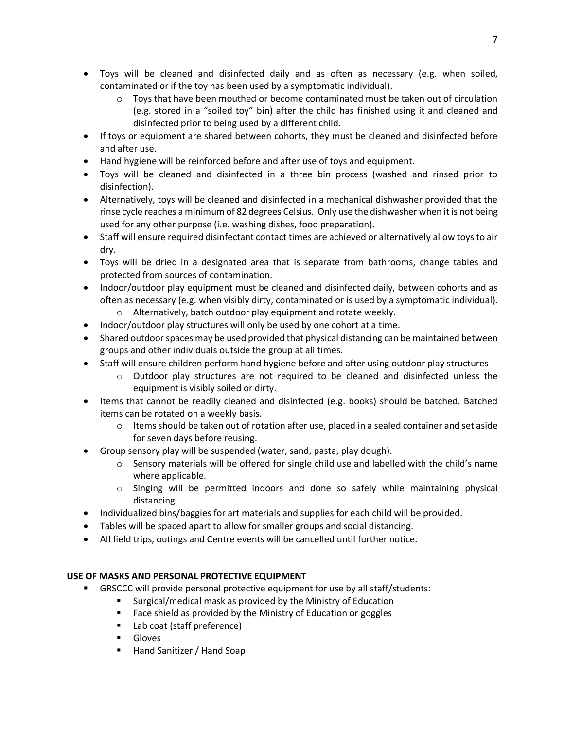- Toys will be cleaned and disinfected daily and as often as necessary (e.g. when soiled, contaminated or if the toy has been used by a symptomatic individual).
	- $\circ$  Toys that have been mouthed or become contaminated must be taken out of circulation (e.g. stored in a "soiled toy" bin) after the child has finished using it and cleaned and disinfected prior to being used by a different child.
- If toys or equipment are shared between cohorts, they must be cleaned and disinfected before and after use.
- Hand hygiene will be reinforced before and after use of toys and equipment.
- Toys will be cleaned and disinfected in a three bin process (washed and rinsed prior to disinfection).
- Alternatively, toys will be cleaned and disinfected in a mechanical dishwasher provided that the rinse cycle reaches a minimum of 82 degrees Celsius. Only use the dishwasher when it is not being used for any other purpose (i.e. washing dishes, food preparation).
- Staff will ensure required disinfectant contact times are achieved or alternatively allow toys to air dry.
- Toys will be dried in a designated area that is separate from bathrooms, change tables and protected from sources of contamination.
- Indoor/outdoor play equipment must be cleaned and disinfected daily, between cohorts and as often as necessary (e.g. when visibly dirty, contaminated or is used by a symptomatic individual).
	- o Alternatively, batch outdoor play equipment and rotate weekly.
- Indoor/outdoor play structures will only be used by one cohort at a time.
- Shared outdoor spaces may be used provided that physical distancing can be maintained between groups and other individuals outside the group at all times.
- Staff will ensure children perform hand hygiene before and after using outdoor play structures
	- $\circ$  Outdoor play structures are not required to be cleaned and disinfected unless the equipment is visibly soiled or dirty.
- Items that cannot be readily cleaned and disinfected (e.g. books) should be batched. Batched items can be rotated on a weekly basis.
	- $\circ$  Items should be taken out of rotation after use, placed in a sealed container and set aside for seven days before reusing.
- Group sensory play will be suspended (water, sand, pasta, play dough).
	- $\circ$  Sensory materials will be offered for single child use and labelled with the child's name where applicable.
	- $\circ$  Singing will be permitted indoors and done so safely while maintaining physical distancing.
- Individualized bins/baggies for art materials and supplies for each child will be provided.
- Tables will be spaced apart to allow for smaller groups and social distancing.
- All field trips, outings and Centre events will be cancelled until further notice.

# **USE OF MASKS AND PERSONAL PROTECTIVE EQUIPMENT**

- § GRSCCC will provide personal protective equipment for use by all staff/students:
	- § Surgical/medical mask as provided by the Ministry of Education
	- Face shield as provided by the Ministry of Education or goggles
	- Lab coat (staff preference)
	- § Gloves
	- Hand Sanitizer / Hand Soap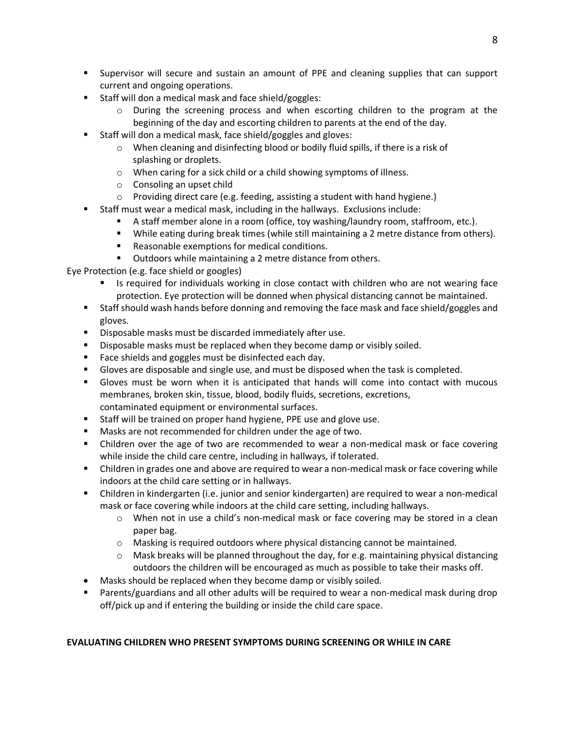- § Supervisor will secure and sustain an amount of PPE and cleaning supplies that can support current and ongoing operations.
- Staff will don a medical mask and face shield/goggles:
	- o During the screening process and when escorting children to the program at the beginning of the day and escorting children to parents at the end of the day.
- Staff will don a medical mask, face shield/goggles and gloves:
	- o When cleaning and disinfecting blood or bodily fluid spills, if there is a risk of splashing or droplets.
	- o When caring for a sick child or a child showing symptoms of illness.
	- o Consoling an upset child
	- o Providing direct care (e.g. feeding, assisting a student with hand hygiene.)
	- § Staff must wear a medical mask, including in the hallways. Exclusions include:
		- § A staff member alone in a room (office, toy washing/laundry room, staffroom, etc.).
		- While eating during break times (while still maintaining a 2 metre distance from others).
		- Reasonable exemptions for medical conditions.
		- Outdoors while maintaining a 2 metre distance from others.

Eye Protection (e.g. face shield or googles)

- Is required for individuals working in close contact with children who are not wearing face protection. Eye protection will be donned when physical distancing cannot be maintained.
- § Staff should wash hands before donning and removing the face mask and face shield/goggles and gloves.
- Disposable masks must be discarded immediately after use.
- § Disposable masks must be replaced when they become damp or visibly soiled.
- Face shields and goggles must be disinfected each day.
- § Gloves are disposable and single use, and must be disposed when the task is completed.
- § Gloves must be worn when it is anticipated that hands will come into contact with mucous membranes, broken skin, tissue, blood, bodily fluids, secretions, excretions, contaminated equipment or environmental surfaces.
- Staff will be trained on proper hand hygiene, PPE use and glove use.
- Masks are not recommended for children under the age of two.
- Children over the age of two are recommended to wear a non-medical mask or face covering while inside the child care centre, including in hallways, if tolerated.
- Children in grades one and above are required to wear a non-medical mask or face covering while indoors at the child care setting or in hallways.
- Children in kindergarten (i.e. junior and senior kindergarten) are required to wear a non-medical mask or face covering while indoors at the child care setting, including hallways.
	- o When not in use a child's non-medical mask or face covering may be stored in a clean paper bag.
	- o Masking is required outdoors where physical distancing cannot be maintained.
	- $\circ$  Mask breaks will be planned throughout the day, for e.g. maintaining physical distancing outdoors the children will be encouraged as much as possible to take their masks off.
- Masks should be replaced when they become damp or visibly soiled.
- Parents/guardians and all other adults will be required to wear a non-medical mask during drop off/pick up and if entering the building or inside the child care space.

# **EVALUATING CHILDREN WHO PRESENT SYMPTOMS DURING SCREENING OR WHILE IN CARE**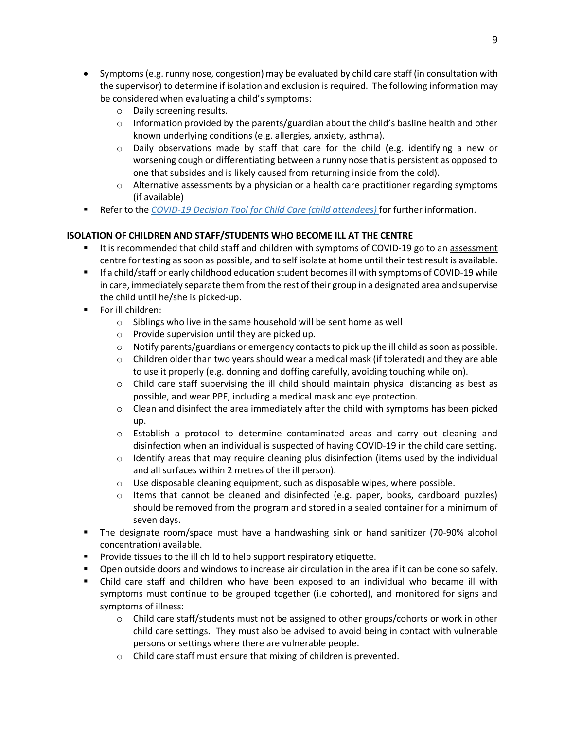- Symptoms (e.g. runny nose, congestion) may be evaluated by child care staff (in consultation with the supervisor) to determine if isolation and exclusion is required. The following information may be considered when evaluating a child's symptoms:
	- o Daily screening results.
	- $\circ$  Information provided by the parents/guardian about the child's basline health and other known underlying conditions (e.g. allergies, anxiety, asthma).
	- $\circ$  Daily observations made by staff that care for the child (e.g. identifying a new or worsening cough or differentiating between a runny nose that is persistent as opposed to one that subsides and is likely caused from returning inside from the cold).
	- $\circ$  Alternative assessments by a physician or a health care practitioner regarding symptoms (if available)
- Refer to the *COVID-19 Decision Tool for Child Care (child attendees)* for further information.

# **ISOLATION OF CHILDREN AND STAFF/STUDENTS WHO BECOME ILL AT THE CENTRE**

- It is recommended that child staff and children with symptoms of COVID-19 go to an assessment centre for testing as soon as possible, and to self isolate at home until their test result is available.
- If a child/staff or early childhood education student becomes ill with symptoms of COVID-19 while in care, immediately separate them from the rest of their group in a designated area and supervise the child until he/she is picked-up.
- For ill children:
	- o Siblings who live in the same household will be sent home as well
	- o Provide supervision until they are picked up.
	- $\circ$  Notify parents/guardians or emergency contacts to pick up the ill child as soon as possible.
	- $\circ$  Children older than two years should wear a medical mask (if tolerated) and they are able to use it properly (e.g. donning and doffing carefully, avoiding touching while on).
	- $\circ$  Child care staff supervising the ill child should maintain physical distancing as best as possible, and wear PPE, including a medical mask and eye protection.
	- $\circ$  Clean and disinfect the area immediately after the child with symptoms has been picked up.
	- o Establish a protocol to determine contaminated areas and carry out cleaning and disinfection when an individual is suspected of having COVID-19 in the child care setting.
	- o Identify areas that may require cleaning plus disinfection (items used by the individual and all surfaces within 2 metres of the ill person).
	- $\circ$  Use disposable cleaning equipment, such as disposable wipes, where possible.
	- o Items that cannot be cleaned and disinfected (e.g. paper, books, cardboard puzzles) should be removed from the program and stored in a sealed container for a minimum of seven days.
- § The designate room/space must have a handwashing sink or hand sanitizer (70-90% alcohol concentration) available.
- Provide tissues to the ill child to help support respiratory etiquette.
- § Open outside doors and windows to increase air circulation in the area if it can be done so safely.
- § Child care staff and children who have been exposed to an individual who became ill with symptoms must continue to be grouped together (i.e cohorted), and monitored for signs and symptoms of illness:
	- $\circ$  Child care staff/students must not be assigned to other groups/cohorts or work in other child care settings. They must also be advised to avoid being in contact with vulnerable persons or settings where there are vulnerable people.
	- o Child care staff must ensure that mixing of children is prevented.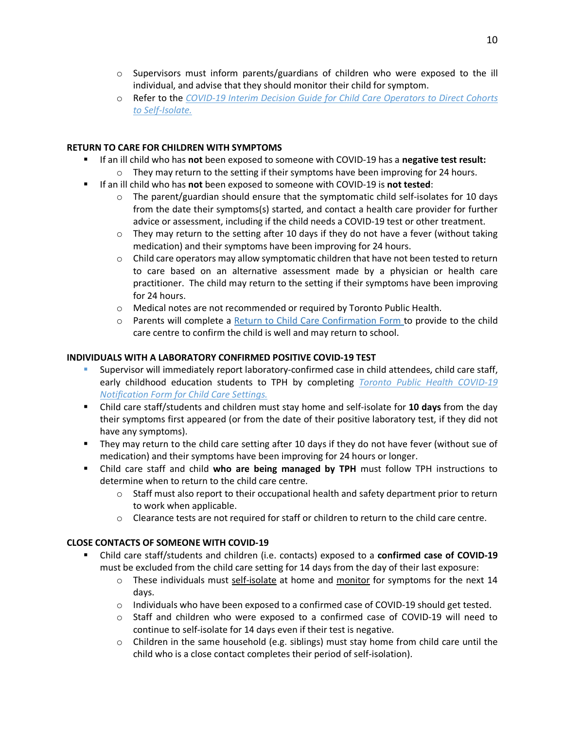- o Supervisors must inform parents/guardians of children who were exposed to the ill individual, and advise that they should monitor their child for symptom.
- o Refer to the *COVID-19 Interim Decision Guide for Child Care Operators to Direct Cohorts to Self-Isolate.*

### **RETURN TO CARE FOR CHILDREN WITH SYMPTOMS**

- § If an ill child who has **not** been exposed to someone with COVID-19 has a **negative test result:**
	- $\circ$  They may return to the setting if their symptoms have been improving for 24 hours.
- § If an ill child who has **not** been exposed to someone with COVID-19 is **not tested**:
	- $\circ$  The parent/guardian should ensure that the symptomatic child self-isolates for 10 days from the date their symptoms(s) started, and contact a health care provider for further advice or assessment, including if the child needs a COVID-19 test or other treatment.
	- $\circ$  They may return to the setting after 10 days if they do not have a fever (without taking medication) and their symptoms have been improving for 24 hours.
	- $\circ$  Child care operators may allow symptomatic children that have not been tested to return to care based on an alternative assessment made by a physician or health care practitioner. The child may return to the setting if their symptoms have been improving for 24 hours.
	- o Medical notes are not recommended or required by Toronto Public Health.
	- o Parents will complete a Return to Child Care Confirmation Form to provide to the child care centre to confirm the child is well and may return to school.

### **INDIVIDUALS WITH A LABORATORY CONFIRMED POSITIVE COVID-19 TEST**

- § Supervisor will immediately report laboratory-confirmed case in child attendees, child care staff, early childhood education students to TPH by completing *Toronto Public Health COVID-19 Notification Form for Child Care Settings.*
- § Child care staff/students and children must stay home and self-isolate for **10 days** from the day their symptoms first appeared (or from the date of their positive laboratory test, if they did not have any symptoms).
- They may return to the child care setting after 10 days if they do not have fever (without sue of medication) and their symptoms have been improving for 24 hours or longer.
- Child care staff and child **who are being managed by TPH** must follow TPH instructions to determine when to return to the child care centre.
	- $\circ$  Staff must also report to their occupational health and safety department prior to return to work when applicable.
	- $\circ$  Clearance tests are not required for staff or children to return to the child care centre.

### **CLOSE CONTACTS OF SOMEONE WITH COVID-19**

- § Child care staff/students and children (i.e. contacts) exposed to a **confirmed case of COVID-19** must be excluded from the child care setting for 14 days from the day of their last exposure:
	- $\circ$  These individuals must self-isolate at home and monitor for symptoms for the next 14 days.
	- $\circ$  Individuals who have been exposed to a confirmed case of COVID-19 should get tested.
	- o Staff and children who were exposed to a confirmed case of COVID-19 will need to continue to self-isolate for 14 days even if their test is negative.
	- $\circ$  Children in the same household (e.g. siblings) must stay home from child care until the child who is a close contact completes their period of self-isolation).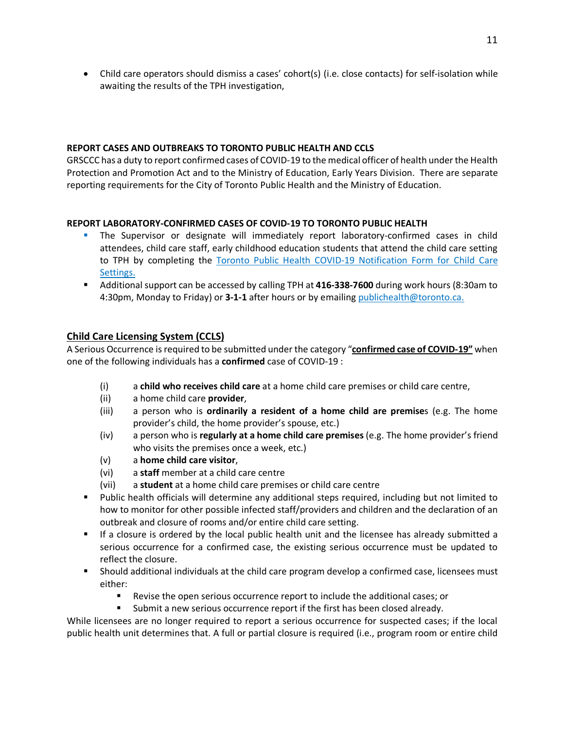• Child care operators should dismiss a cases' cohort(s) (i.e. close contacts) for self-isolation while awaiting the results of the TPH investigation,

# **REPORT CASES AND OUTBREAKS TO TORONTO PUBLIC HEALTH AND CCLS**

GRSCCC has a duty to report confirmed cases of COVID-19 to the medical officer of health under the Health Protection and Promotion Act and to the Ministry of Education, Early Years Division. There are separate reporting requirements for the City of Toronto Public Health and the Ministry of Education.

# **REPORT LABORATORY-CONFIRMED CASES OF COVID-19 TO TORONTO PUBLIC HEALTH**

- **•** The Supervisor or designate will immediately report laboratory-confirmed cases in child attendees, child care staff, early childhood education students that attend the child care setting to TPH by completing the Toronto Public Health COVID-19 Notification Form for Child Care Settings.
- Additional support can be accessed by calling TPH at 416-338-7600 during work hours (8:30am to 4:30pm, Monday to Friday) or **3-1-1** after hours or by emailing publichealth@toronto.ca.

# **Child Care Licensing System (CCLS)**

A Serious Occurrence is required to be submitted under the category "**confirmed case of COVID-19"** when one of the following individuals has a **confirmed** case of COVID-19 :

- (i) a **child who receives child care** at a home child care premises or child care centre,
- (ii) a home child care **provider**,
- (iii) a person who is **ordinarily a resident of a home child are premise**s (e.g. The home provider's child, the home provider's spouse, etc.)
- (iv) a person who is **regularly at a home child care premises** (e.g. The home provider's friend who visits the premises once a week, etc.)
- (v) a **home child care visitor**,
- (vi) a **staff** member at a child care centre
- (vii) a **student** at a home child care premises or child care centre
- § Public health officials will determine any additional steps required, including but not limited to how to monitor for other possible infected staff/providers and children and the declaration of an outbreak and closure of rooms and/or entire child care setting.
- If a closure is ordered by the local public health unit and the licensee has already submitted a serious occurrence for a confirmed case, the existing serious occurrence must be updated to reflect the closure.
- § Should additional individuals at the child care program develop a confirmed case, licensees must either:
	- Revise the open serious occurrence report to include the additional cases; or
	- § Submit a new serious occurrence report if the first has been closed already.

While licensees are no longer required to report a serious occurrence for suspected cases; if the local public health unit determines that. A full or partial closure is required (i.e., program room or entire child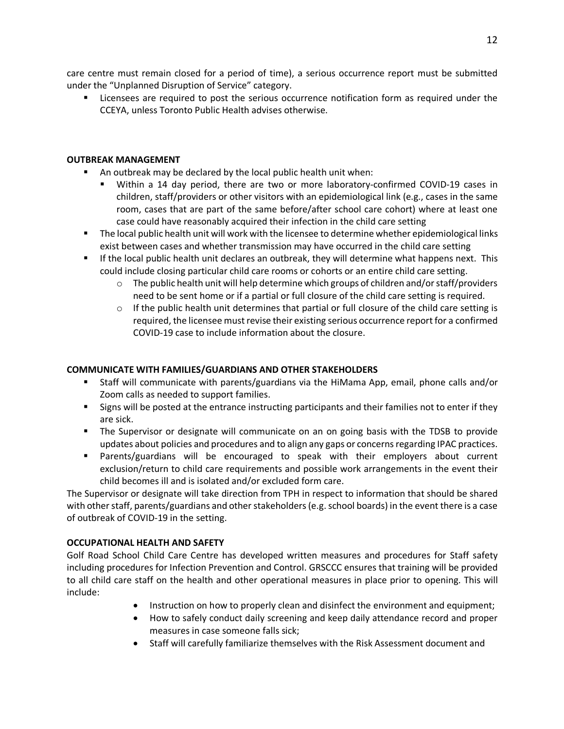care centre must remain closed for a period of time), a serious occurrence report must be submitted under the "Unplanned Disruption of Service" category.

■ Licensees are required to post the serious occurrence notification form as required under the CCEYA, unless Toronto Public Health advises otherwise.

#### **OUTBREAK MANAGEMENT**

- An outbreak may be declared by the local public health unit when:
	- § Within a 14 day period, there are two or more laboratory-confirmed COVID-19 cases in children, staff/providers or other visitors with an epidemiological link (e.g., cases in the same room, cases that are part of the same before/after school care cohort) where at least one case could have reasonably acquired their infection in the child care setting
- The local public health unit will work with the licensee to determine whether epidemiological links exist between cases and whether transmission may have occurred in the child care setting
- If the local public health unit declares an outbreak, they will determine what happens next. This could include closing particular child care rooms or cohorts or an entire child care setting.
	- $\circ$  The public health unit will help determine which groups of children and/or staff/providers need to be sent home or if a partial or full closure of the child care setting is required.
	- $\circ$  If the public health unit determines that partial or full closure of the child care setting is required, the licensee must revise their existing serious occurrence report for a confirmed COVID-19 case to include information about the closure.

### **COMMUNICATE WITH FAMILIES/GUARDIANS AND OTHER STAKEHOLDERS**

- § Staff will communicate with parents/guardians via the HiMama App, email, phone calls and/or Zoom calls as needed to support families.
- Signs will be posted at the entrance instructing participants and their families not to enter if they are sick.
- The Supervisor or designate will communicate on an on going basis with the TDSB to provide updates about policies and procedures and to align any gaps or concerns regarding IPAC practices.
- § Parents/guardians will be encouraged to speak with their employers about current exclusion/return to child care requirements and possible work arrangements in the event their child becomes ill and is isolated and/or excluded form care.

The Supervisor or designate will take direction from TPH in respect to information that should be shared with other staff, parents/guardians and other stakeholders (e.g. school boards) in the event there is a case of outbreak of COVID-19 in the setting.

### **OCCUPATIONAL HEALTH AND SAFETY**

Golf Road School Child Care Centre has developed written measures and procedures for Staff safety including procedures for Infection Prevention and Control. GRSCCC ensures that training will be provided to all child care staff on the health and other operational measures in place prior to opening. This will include:

- Instruction on how to properly clean and disinfect the environment and equipment;
- How to safely conduct daily screening and keep daily attendance record and proper measures in case someone falls sick;
- Staff will carefully familiarize themselves with the Risk Assessment document and